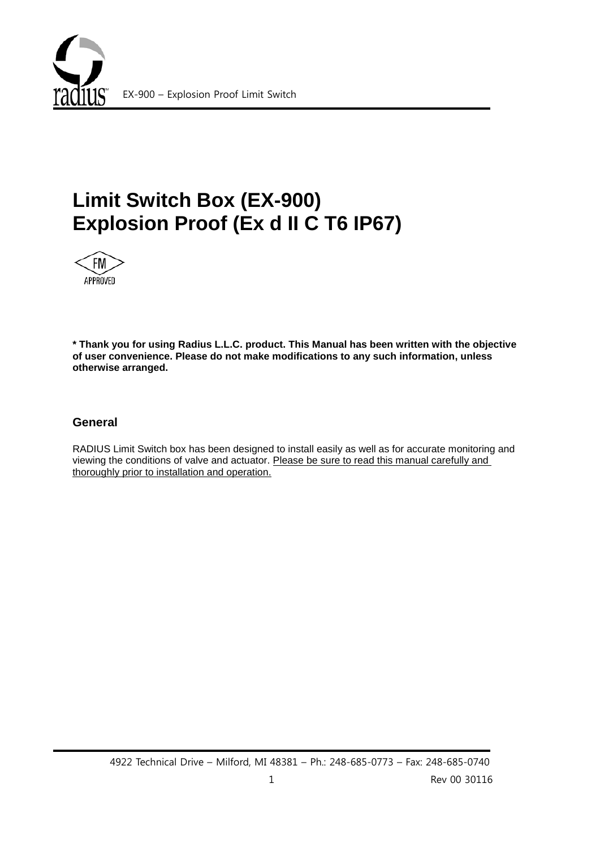

# **Limit Switch Box (EX-900) Explosion Proof (Ex d II C T6 IP67)**



**\* Thank you for using Radius L.L.C. product. This Manual has been written with the objective of user convenience. Please do not make modifications to any such information, unless otherwise arranged.**

### **General**

RADIUS Limit Switch box has been designed to install easily as well as for accurate monitoring and viewing the conditions of valve and actuator. Please be sure to read this manual carefully and thoroughly prior to installation and operation.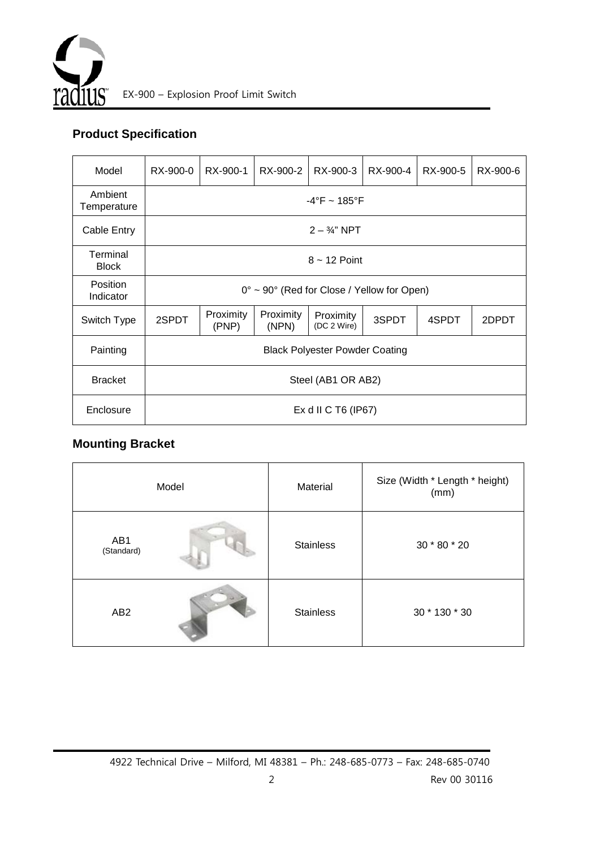

# **Product Specification**

| Model                    | RX-900-0                                                      | RX-900-1           | RX-900-2           | RX-900-3                 | RX-900-4 | RX-900-5 | RX-900-6 |  |
|--------------------------|---------------------------------------------------------------|--------------------|--------------------|--------------------------|----------|----------|----------|--|
| Ambient<br>Temperature   | $-4^{\circ}$ F ~ 185 $^{\circ}$ F                             |                    |                    |                          |          |          |          |  |
| Cable Entry              | $2 - \frac{3}{4}$ " NPT                                       |                    |                    |                          |          |          |          |  |
| Terminal<br><b>Block</b> | $8 - 12$ Point                                                |                    |                    |                          |          |          |          |  |
| Position<br>Indicator    | $0^{\circ} \sim 90^{\circ}$ (Red for Close / Yellow for Open) |                    |                    |                          |          |          |          |  |
| Switch Type              | 2SPDT                                                         | Proximity<br>(PNP) | Proximity<br>(NPN) | Proximity<br>(DC 2 Wire) | 3SPDT    | 4SPDT    | 2DPDT    |  |
| Painting                 | <b>Black Polyester Powder Coating</b>                         |                    |                    |                          |          |          |          |  |
| <b>Bracket</b>           | Steel (AB1 OR AB2)                                            |                    |                    |                          |          |          |          |  |
| Enclosure                | Ex d II C T6 (IP67)                                           |                    |                    |                          |          |          |          |  |

## **Mounting Bracket**

| Model             |  | Material         | Size (Width * Length * height)<br>(mm) |  |  |
|-------------------|--|------------------|----------------------------------------|--|--|
| AB1<br>(Standard) |  | <b>Stainless</b> | 30 * 80 * 20                           |  |  |
| AB <sub>2</sub>   |  | <b>Stainless</b> | 30 * 130 * 30                          |  |  |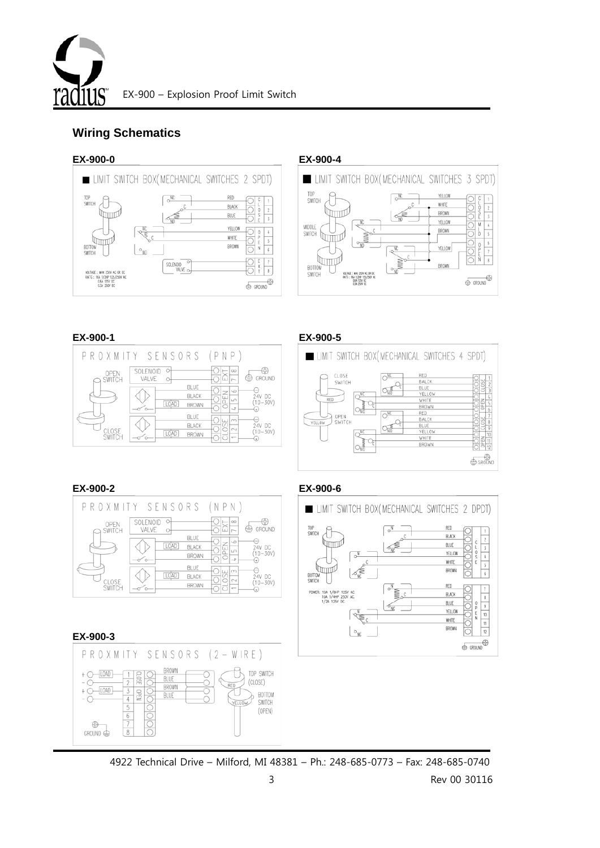

# **Wiring Schematics**

### **EX-900-0 EX-900-4**





|                 | PROXMITY SENSORS                                    | (PNP)                                                                          |
|-----------------|-----------------------------------------------------|--------------------------------------------------------------------------------|
| OPEN<br>SWITCH  | SOLENOID<br>o<br>VALVE                              | 69<br>$\infty$<br>GROUND<br>÷<br>ш<br>r-                                       |
|                 | BLUE<br><b>BLACK</b><br>LOAD<br>BROWN<br>′⊶         | $\circ$<br>zl<br>24V DC<br>ں)<br>م<br>LO<br>$(10 - 30V)$<br>7<br>$\rightarrow$ |
| CLOSE<br>SWITCH | BLUE<br><b>BLACK</b><br><b>LOAD</b><br><b>BROWN</b> | шm<br>(<br>24V DC<br>$(10 - 30V)$<br>$\sim$                                    |

### **EX-900-1 EX-900-5**



### **EX-900-2 EX-900-6**

 $\oplus$ GROUND<sup>e</sup>



#### **EX-900-3**PROXMITY SENSORS (2-WIRE)  $+$   $\bigcirc$   $\overline{\text{LOAD}}$ BLU **BROWN**  $+\tilde{\bigcirc}-10AD$ **OPEN** BLUE



4922 Technical Drive – Milford, MI 48381 – Ph.: 248-685-0773 – Fax: 248-685-0740

TOP SWITCH

BOTTOM<br>SWITCH

 $(OPEN)$ 

(CLOSE)

YELLOW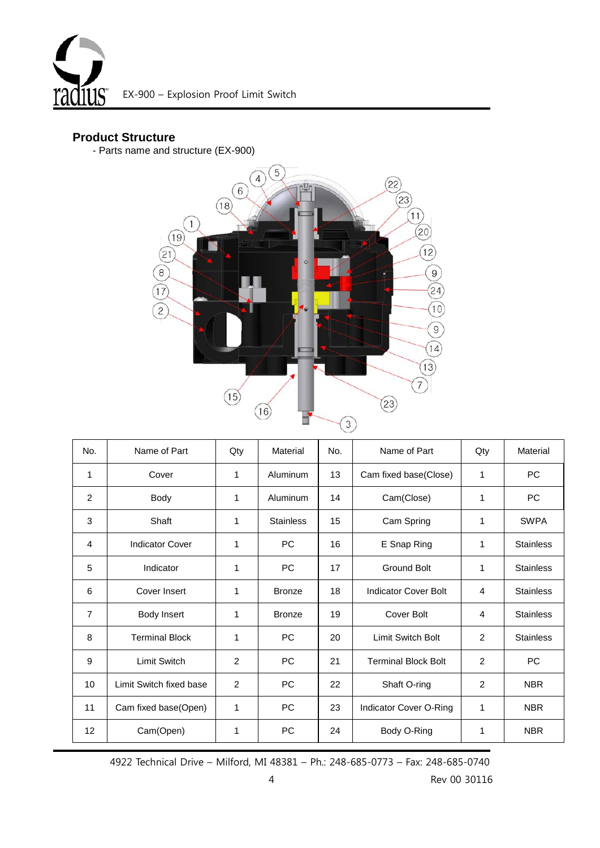

### **Product Structure**

- Parts name and structure (EX-900)



| No.            | Name of Part            | Qty            | Material         | No. | Name of Part                  | Qty            | Material         |
|----------------|-------------------------|----------------|------------------|-----|-------------------------------|----------------|------------------|
| 1              | Cover                   | 1              | Aluminum         | 13  | Cam fixed base(Close)         | 1              | <b>PC</b>        |
| 2              | Body                    | 1              | Aluminum         | 14  | Cam(Close)                    | 1              | PC               |
| 3              | Shaft                   | 1              | <b>Stainless</b> | 15  | Cam Spring                    | 1              | <b>SWPA</b>      |
| 4              | <b>Indicator Cover</b>  | 1              | PC               | 16  | E Snap Ring                   | 1              | <b>Stainless</b> |
| 5              | Indicator               | 1              | <b>PC</b>        | 17  | <b>Ground Bolt</b>            | 1              | <b>Stainless</b> |
| 6              | Cover Insert            | 1              | <b>Bronze</b>    | 18  | Indicator Cover Bolt          | $\overline{4}$ | <b>Stainless</b> |
| $\overline{7}$ | Body Insert             | 1              | <b>Bronze</b>    | 19  | <b>Cover Bolt</b>             | 4              | <b>Stainless</b> |
| 8              | <b>Terminal Block</b>   | 1              | PC.              | 20  | <b>Limit Switch Bolt</b>      | 2              | <b>Stainless</b> |
| 9              | <b>Limit Switch</b>     | 2              | <b>PC</b>        | 21  | <b>Terminal Block Bolt</b>    | $\overline{2}$ | PC               |
| 10             | Limit Switch fixed base | $\overline{2}$ | PC               | 22  | Shaft O-ring                  | 2              | <b>NBR</b>       |
| 11             | Cam fixed base(Open)    | 1              | PC               | 23  | <b>Indicator Cover O-Ring</b> | 1              | <b>NBR</b>       |
| 12             | Cam(Open)               | 1              | PC               | 24  | Body O-Ring                   | 1              | <b>NBR</b>       |

4922 Technical Drive – Milford, MI 48381 – Ph.: 248-685-0773 – Fax: 248-685-0740